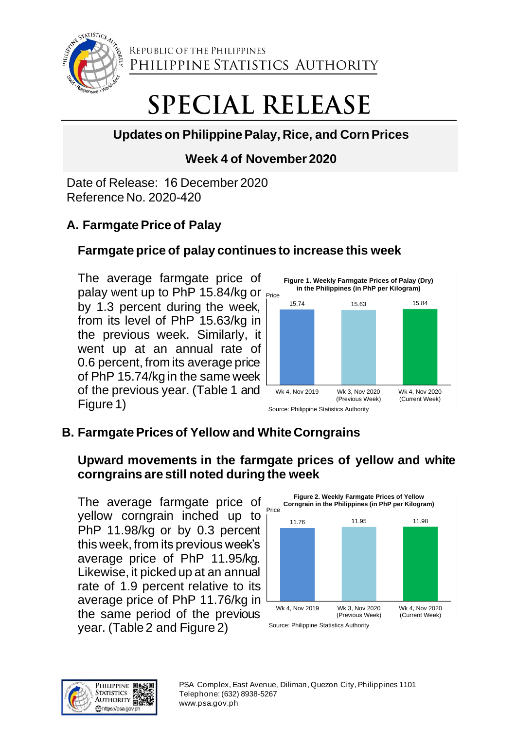

REPUBLIC OF THE PHILIPPINES PHILIPPINE STATISTICS AUTHORITY

# **SPECIAL RELEASE**

# **Updates on Philippine Palay, Rice, and CornPrices**

# **Week 4 of November 2020**

Date of Release: 16 December 2020 Reference No. 2020-420

## **A. Farmgate Price of Palay**

## **Farmgate price of palay continues to increase this week**

palay went up to PhP 15.84/kg or Price The average farmgate price of by 1.3 percent during the week, from its level of PhP 15.63/kg in the previous week. Similarly, it went up at an annual rate of 0.6 percent, from its average price of PhP 15.74/kg in the same week of the previous year. (Table 1 and Figure 1)



# **B. Farmgate Prices of Yellow and White Corngrains**

## **Upward movements in the farmgate prices of yellow and white corngrains are still noted during the week**

The average farmgate price of yellow corngrain inched up to PhP 11.98/kg or by 0.3 percent this week, from its previous week's average price of PhP 11.95/kg. Likewise, it picked up at an annual rate of 1.9 percent relative to its average price of PhP 11.76/kg in the same period of the previous year. (Table 2 and Figure 2)



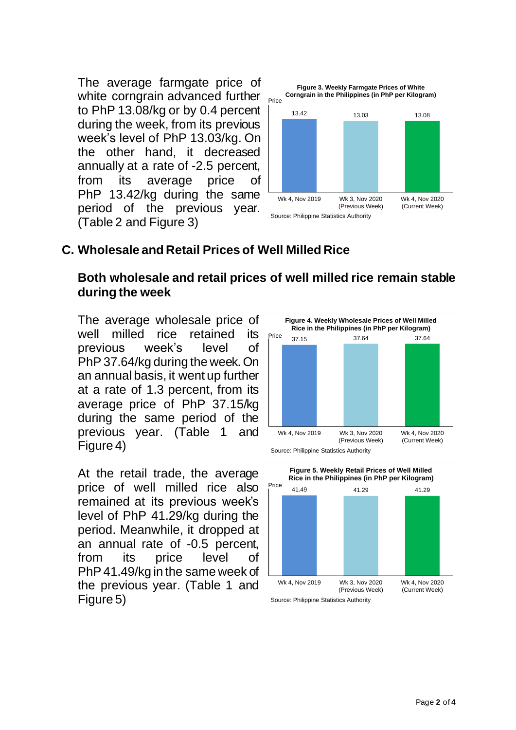The average farmgate price of white corngrain advanced further to PhP 13.08/kg or by 0.4 percent during the week, from its previous week's level of PhP 13.03/kg. On the other hand, it decreased annually at a rate of -2.5 percent, from its average price of PhP 13.42/kg during the same period of the previous year. (Table 2 and Figure 3)



#### **C. Wholesale and Retail Prices of Well Milled Rice**

#### **Both wholesale and retail prices of well milled rice remain stable during the week**

The average wholesale price of well milled rice retained its previous week's level of PhP 37.64/kg during the week. On an annual basis, it went up further at a rate of 1.3 percent, from its average price of PhP 37.15/kg during the same period of the previous year. (Table 1 and Figure 4)

At the retail trade, the average price of well milled rice also remained at its previous week's level of PhP 41.29/kg during the period. Meanwhile, it dropped at an annual rate of -0.5 percent, from its price level of PhP 41.49/kg in the same week of the previous year. (Table 1 and Figure 5)



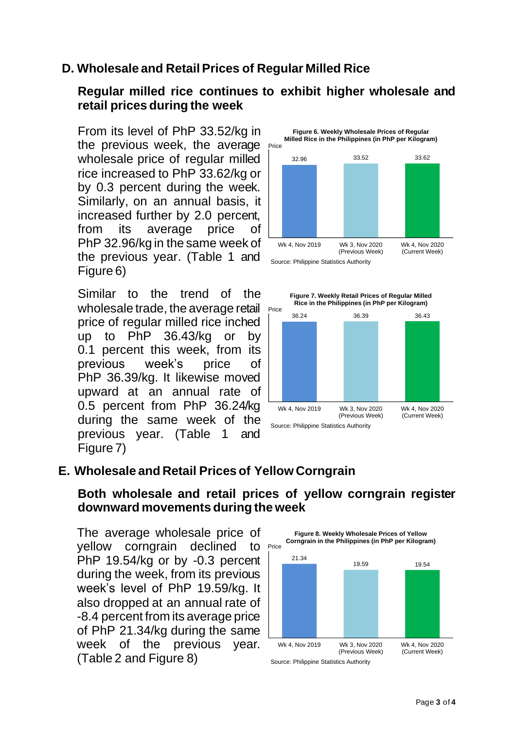## **D. Wholesale and Retail Prices of Regular Milled Rice**

#### **Regular milled rice continues to exhibit higher wholesale and retail prices during the week**

From its level of PhP 33.52/kg in the previous week, the average wholesale price of regular milled rice increased to PhP 33.62/kg or by 0.3 percent during the week. Similarly, on an annual basis, it increased further by 2.0 percent, from its average price of PhP 32.96/kg in the same week of the previous year. (Table 1 and Figure 6)

Similar to the trend of the wholesale trade, the average retail price of regular milled rice inched up to PhP 36.43/kg or by 0.1 percent this week, from its previous week's price of PhP 36.39/kg. It likewise moved upward at an annual rate of 0.5 percent from PhP 36.24/kg during the same week of the previous year. (Table 1 and Figure 7)





#### **E. Wholesale and Retail Prices of Yellow Corngrain**

#### **Both wholesale and retail prices of yellow corngrain register downward movements during the week**

yellow corngrain declined to Price The average wholesale price of PhP 19.54/kg or by -0.3 percent during the week, from its previous week's level of PhP 19.59/kg. It also dropped at an annual rate of -8.4 percent from its average price of PhP 21.34/kg during the same week of the previous year. (Table 2 and Figure 8)